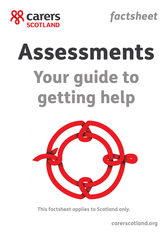



# Assessments Your guide to getting help



**This factsheet applies to Scotland only.** 

**carerscotland.org**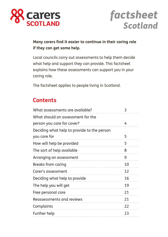

## *factsheet Scotland*

**Many carers find it easier to continue in their caring role if they can get some help.**

Local councils carry out assessments to help them decide what help and support they can provide. This factsheet explains how these assessments can support you in your caring role.

The factsheet applies to people living in Scotland.

## **Contents**

| What assessments are available?                                 | 3  |
|-----------------------------------------------------------------|----|
| What should an assessment for the<br>person you care for cover? | 4  |
| Deciding what help to provide to the person<br>you care for     | 5  |
| How will help be provided                                       | 5  |
| The sort of help available                                      | 8  |
| Arranging an assessment                                         | 9  |
| Breaks from caring                                              | 10 |
| Carer's assessment                                              | 12 |
| Deciding what help to provide                                   | 16 |
| The help you will get                                           | 19 |
| Free personal care                                              | 21 |
| Reassessments and reviews                                       | 21 |
| Complaints                                                      | 22 |
| <b>Further help</b>                                             | 23 |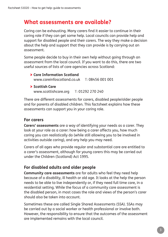## **What assessments are available?**

Caring can be exhausting. Many carers find it easier to continue in their caring role if they can get some help. Local councils can provide help and support for disabled people and their carers. The way they make a decision about the help and support that they can provide is by carrying out an assessment.

Some people decide to buy in their own help without going through an assessment from the local council. If you want to do this, there are two useful sources of lists of care agencies across Scotland:

> **Care Information Scotland** www.careinfoscotland.co.uk **T:** 08456 001 001 > **Scottish Care**

www.scottishcare.org **T:** 01292 270 240

There are different assessments for carers, disabled people/older people and for parents of disabled children. This factsheet explains how these assessments can support you in your caring role.

#### **For carers**

**Carers' assessments** are a way of identifying your needs as a carer. They look at your role as a carer: how being a carer affects you, how much caring you can realistically do (while still allowing you to be involved in activities outside caring), and any help you may need.

Carers of all ages who provide regular and substantial care are entitled to a carer's assessment, although for young carers this may be carried out under the Children (Scotland) Act 1995.

#### **For disabled adults and older people**

**Community care assessments** are for adults who feel they need help because of a disability, ill health or old age. It looks at the help the person needs to be able to live independently or, if they need full time care, in a residential setting. While the focus of a community care assessment is the disabled person, in most cases the role and views of the person's carer should also be taken into account.

Sometimes these are called Single Shared Assessments (SSA). SSAs may be carried out by a social worker or health professional or involve both. However, the responsibility to ensure that the outcomes of the assessment are implemented remains with the local council.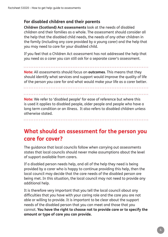#### **For disabled children and their parents**

**Children (Scotland) Act assessments** look at the needs of disabled children and their families as a whole. The assessment should consider all the help that the disabled child needs, the needs of any other children in the family (including any care provided by a young carer) and the help that you may need to care for your disabled child.

If you feel that a Children Act assessment has not addressed the help that you need as a carer you can still ask for a separate carer's assessment.

**Note:** All assessments should focus on **outcomes**. This means that they should identify what services and support would improve the quality of life of the person you care for and what would make your life as a carer better.

**Note:** We refer to 'disabled people' for ease of reference but where this is used it applies to disabled people, older people and people who have a long term condition or an illness. It also refers to disabled children unless otherwise stated.

**What should an assessment for the person you care for cover?**

The guidance that local councils follow when carrying out assessments states that local councils should never make assumptions about the level of support available from carers.

If a disabled person needs help, and all of the help they need is being provided by a carer who is happy to continue providing this help, then the local council may decide that the care needs of the disabled person are being met. In this situation, the local council may not need to provide any additional help.

It is therefore very important that you tell the local council about any difficulties that you have with your caring role and the care you are not able or willing to provide. It is important to be clear about the support needs of the disabled person that you can meet and those that you cannot. **You have the right to choose not to provide care or to specify the amount or type of care you can provide.**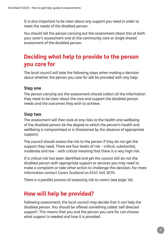It is also important to be clear about any support you need in order to meet the needs of the disabled person.

You should tell the person carrying out the assessment about this at both your carer's assessment and at the community care or single shared assessment of the disabled person.

## **Deciding what help to provide to the person you care for**

The local council will take the following steps when making a decision about whether the person you care for will be provided with any help:

#### **Step one**

The person carrying out the assessment should collect all the information they need to be clear about the care and support the disabled person needs and the outcomes they wish to achieve.

#### **Step two**

The assessment will then look at any risks to the health and wellbeing of the disabled person (ie the degree to which the person's health and wellbeing is compromised or is threatened by the absence of appropriate support).

The council should assess the risk to the person if they do not get the support they need. There are four levels of risk – critical, substantial, moderate and low – with critical meaning that there is a very high risk.

If a critical risk has been identified and yet the council still do not the disabled person with appropriate support or services you may need to make a complaint or take other action to challenge this decision. For more information contact Carers Scotland on 0141 445 3070.

There is a parallel process of assessing risk to carers (see page 16).

## **How will help be provided?**

Following assessment, the local council may decide that it can help the disabled person. You should be offered something called 'self directed support'. This means that you and the person you care for can choose what support is needed and how it is provided.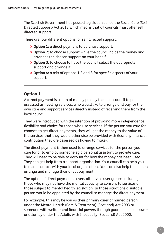The Scottish Government has passed legislation called the Social Care (Self Directed Support) Act 2013 which means that all councils must offer self directed support.

There are four different options for self directed support:

- > **Option 1:** a direct payment to purchase support.
- > **Option 2:** to choose support while the council holds the money and arranges the chosen support on your behalf.
- > **Option 3:** to choose to have the council select the appropriate support and arrange it.
- > **Option 4:** a mix of options 1,2 and 3 for specific aspects of your support.

#### **Option 1**

A **direct payment** is a sum of money paid by the local council to people assessed as needing services, who would like to arrange and pay for their own care and support services directly instead of receiving them from the local council.

They were introduced with the intention of providing more independence, flexibility and choice for those who use services. If the person you care for chooses to get direct payments, they will get the money to the value of the services that they would otherwise be provided with (less any financial contribution they are assessed as having to make).

The direct payment is then used to arrange services for the person you care for or to employ someone eg a personal assistant to provide care. They will need to be able to account for how the money has been used. They can get help from a support organisation. Your council can help you to make contact with your local organisation. You can also help the person arrange and manage their direct payment.

The option of direct payments covers all service user groups including those who may not have the mental capacity to consent to services or those subject to mental health legislation. In those situations a suitable person would be appointed by the council to manage the direct payment.

For example, this may be you as their primary carer or named person under the Mental Health (Care & Treatment) (Scotland) Act 2003 or someone with welfare **and** financial powers through guardianship or power or attorney under the Adults with Incapacity (Scotland) Act 2000.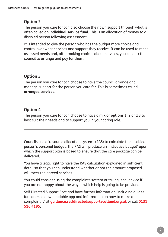#### **Option 2**

The person you care for can also choose their own support through what is often called an **individual service fund**. This is an allocation of money to a disabled person following assessment.

It is intended to give the person who has the budget more choice and control over what services and support they receive. It can be used to meet assessed needs and, after making choices about services, you can ask the council to arrange and pay for them.

#### **Option 3**

The person you care for can choose to have the council arrange and manage support for the person you care for. This is sometimes called **arranged services**.

### **Option 4**

The person you care for can choose to have a **mix of options** 1, 2 and 3 to best suit their needs and to support you in your caring role.

Councils use a 'resource allocation system' (RAS) to calculate the disabled person's personal budget. The RAS will produce an 'indicative budget' upon which the support plan is based to ensure that the care package can be delivered.

You have a legal right to have the RAS calculation explained in sufficient detail so that you can understand whether or not the amount proposed will meet the agreed services.

You could consider using the complaints system or taking legal advice if you are not happy about the way in which help is going to be provided.

Self Directed Support Scotland have further information, including guides for carers, a downloadable app and information on how to make a complaint. Visit **guidance.selfdirectedsupportscotland.org.uk** or call **0131 516 4195**.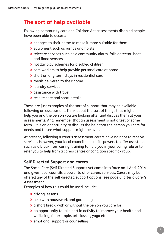## **The sort of help available**

Following community care and Children Act assessments disabled people have been able to access:

- > changes to their home to make it more suitable for them
- > equipment such as ramps and hoists
- > telecare services such as a community alarm, falls detector, heat and flood sensors
- > holiday play schemes for disabled children
- > care workers to help provide personal care at home
- > short or long term stays in residential care
- > meals delivered to their home
- > laundry services
- > assistance with travel
- > respite care and short breaks

These are just examples of the sort of support that may be available following an assessment. Think about the sort of things that might help you and the person you are looking after and discuss them at your assessments. And remember that an assessment is not a test of some form – it is an opportunity to discuss the help that the person you care for needs and to see what support might be available.

At present, following a carer's assessment carers have no right to receive services. However, your local council can use its powers to offer assistance such as a break from caring, training to help you in your caring role or to refer you to help from a carers centre or condition specific group.

#### **Self Directed Support and carers**

The Social Care (Self Directed Support) Act came into force on 1 April 2014 and gives local councils a power to offer carers services. Carers may be offered any of the self directed support options (see page 6) after a Carer's Assessment.

Examples of how this could be used include:

- > driving lessons
- > help with housework and gardening
- > a short break, with or without the person you care for
- > an opportunity to take part in activity to improve your health and wellbeing, for example, art classes, yoga etc
- > emotional support or counselling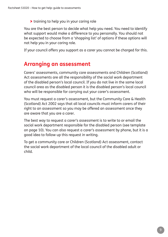> training to help you in your caring role

You are the best person to decide what help you need. You need to identify what support would make a difference to you personally. You should not be expected to choose from a 'shopping list' of options if these options will not help you in your caring role.

If your council offers you support as a carer you cannot be charged for this.

## **Arranging an assessment**

Carers' assessments, community care assessments and Children (Scotland) Act assessments are all the responsibility of the social work department of the disabled person's local council. If you do not live in the same local council area as the disabled person it is the disabled person's local council who will be responsible for carrying out your carer's assessment.

You must request a carer's assessment, but the Community Care & Health (Scotland) Act 2002 says that all local councils must inform carers of their right to an assessment so you may be offered an assessment once they are aware that you are a carer.

The best way to request a carer's assessment is to write to or email the social work department responsible for the disabled person (see template on page 10). You can also request a carer's assessment by phone, but it is a good idea to follow up this request in writing.

To get a community care or Children (Scotland) Act assessment, contact the social work department of the local council of the disabled adult or child.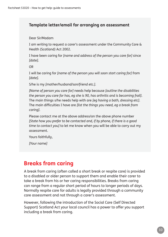#### **Template letter/email for arranging an assessment**

Dear Sir/Madam

I am writing to request a carer's assessment under the Community Care & Health (Scotland) Act 2002.

I have been caring for *[name and address of the person you care for]* since *[date]*.

OR

I will be caring for *[name of the person you will soon start caring for]* from *[date]*.

S/he is my *[mother/husband/son/friend etc.]*.

*[Name of person you care for]* needs help because *[outline the disabilities the person you care for has, eg she is 90, has arthritis and is becoming frail]*. The main things s/he needs help with are *[eg having a bath, dressing etc]*. The main difficulties I have are *[list the things you need, eg a break from caring]*.

Please contact me at the above address/on the above phone number *[State how you prefer to be contacted and, if by phone, if there is a good time to contact you]* to let me know when you will be able to carry out my assessment.

Yours faithfully,

*[Your name]*

## **Breaks from caring**

A break from caring (often called a short break or respite care) is provided to a disabled or older person to support them and enable their carer to take a break from his or her caring responsibilities. Breaks from caring can range from a regular short period of hours to longer periods of days. Normally respite care for adults is legally provided through a community care assessment and not through a carer's assessment.

However, following the introduction of the Social Care (Self Directed Support) Scotland Act your local council has a power to offer you support including a break from caring.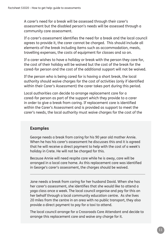A carer's need for a break will be assessed through their carer's assessment but the disabled person's needs will be assessed through a community care assessment.

If a carer's assessment identifies the need for a break and the local council agrees to provide it, the carer cannot be charged. This should include all elements of the break including items such as accommodation, meals, travelling expenses, the costs of equipment for classes and so on.

If a carer wishes to have a holiday or break with the person they care for, the cost of their holiday will be waived but the cost of the break for the cared-for person and the cost of the additional support will not be waived.

If the person who is being cared for is having a short break, the local authority should waive charges for the cost of activities (only if identified within their Carer's Assessment) the carer takes part during this period.

Local authorities can decide to arrange replacement care for a cared-for person as part of the support which they provide to a carer in order to give a break from caring. If replacement care is identified within the Carer's Assessment and is provided as support to meet the carer's needs, the local authority must waive charges for the cost of the

#### **Examples**

George needs a break from caring for his 90 year old mother Annie. When he has his carer's assessment he discusses this and it is agreed that he will receive a direct payment to help with the cost of a week's holiday in Crete. He will not be charged for this.

Because Annie will need respite care while he is away, care will be arranged in a local care home. As this replacement care was identified in George's carer's assessment, the charges should be waived.

Jane needs a break from caring for her husband David. When she has her carer's assessment, she identifies that she would like to attend a yoga class once a week. The local council organise and pay for this on her behalf through a local community education centre. As she lives 20 miles from the centre in an area with no public transport, they also provide a direct payment to pay for a taxi to attend.

The local council arrange for a Crossroads Care Attendant and decide to arrange this replacement care and waive any charge for it.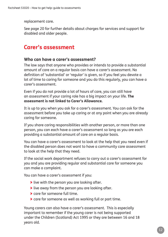replacement care.

See page 20 for further details about charges for services and support for disabled and older people.

## **Carer's assessment**

#### **Who can have a carer's assessment?**

The law says that anyone who provides or intends to provide a substantial amount of care on a regular basis can have a carer's assessment. No definition of 'substantial' or 'regular' is given, so if you feel you devote a lot of time to caring for someone and you do this regularly, you can have a carer's assessment.

Even if you do not provide a lot of hours of care, you can still have an assessment if your caring role has a big impact on your life. **The assessment is not linked to Carer's Allowance.**

It is up to you when you ask for a carer's assessment. You can ask for the assessment before you take up caring or at any point when you are already caring for someone.

If you share caring responsibilities with another person, or more than one person, you can each have a carer's assessment so long as you are each providing a substantial amount of care on a regular basis.

You can have a carer's assessment to look at the help that you need even if the disabled person does not want to have a community care assessment to look at the help that they need.

If the social work department refuses to carry out a carer's assessment for you and you are providing regular and substantial care for someone you can make a complaint.

You can have a carer's assessment if you:

- > live with the person you are looking after.
- > live away from the person you are looking after.
- > care for someone full time.
- > care for someone as well as working full or part time.

Young carers can also have a carer's assessment. This is especially important to remember if the young carer is not being supported under the Children (Scotland) Act 1995 or they are between 16 and 18 years old.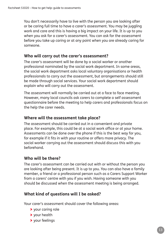You don't necessarily have to live with the person you are looking after or be caring full time to have a carer's assessment. You may be juggling work and care and this is having a big impact on your life. It is up to you when you ask for a carer's assessment. You can ask for the assessment before you take up caring or at any point when you are already caring for someone.

#### **Who will carry out the carer's assessment?**

The carer's assessment will be done by a social worker or another professional nominated by the social work department. In some areas, the social work department asks local voluntary organisations or health professionals to carry out the assessment, but arrangements should still be made through social services. Your social work department should explain who will carry out the assessment.

The assessment will normally be carried out at a face to face meeting. However, many local councils ask carers to complete a self assessment questionnaire before the meeting to help carers and professionals focus on the help the carer needs.

#### **Where will the assessment take place?**

The assessment should be carried out in a convenient and private place. For example, this could be at a social work office or at your home. Assessments can be done over the phone if this is the best way for you, for example if it fits in with your routine or offers more privacy. The social worker carrying out the assessment should discuss this with you beforehand.

#### **Who will be there?**

The carer's assessment can be carried out with or without the person you are looking after being present. It is up to you. You can also have a family member, a friend or a professional person such as a Carers Support Worker from a carers' centre with you if you wish. Having someone with you should be discussed when the assessment meeting is being arranged.

#### **What kind of questions will I be asked?**

Your carer's assessment should cover the following areas:

- > your caring role
- > your health
- > your feelings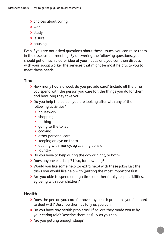- > choices about caring
- > work
- > study
- > leisure
- > housing

Even if you are not asked questions about these issues, you can raise them in the assessment meeting. By answering the following questions, you should get a much clearer idea of your needs and you can then discuss with your social worker the services that might be most helpful to you to meet these needs.

#### **Time**

- > How many hours a week do you provide care? Include all the time you spend with the person you care for, the things you do for them and how long they take you.
- > Do you help the person you are looking after with any of the following activities?
	- **•** housework
	- **•** shopping
	- **•** bathing
	- **•** going to the toilet
	- **•** cooking
	- **•** other personal care
	- **•** keeping an eye on them
	- **•** dealing with money, eg cashing pension
	- **•** laundry
- > Do you have to help during the day or night, or both?
- > Does anyone else help? If so, for how long?
- > Would you like some help (or extra help) with these jobs? List the tasks you would like help with (putting the most important first).
- > Are you able to spend enough time on other family responsibilities, eg being with your children?

#### **Health**

- > Does the person you care for have any health problems you find hard to deal with? Describe them as fully as you can.
- > Do you have any health problems? If so, are they made worse by your caring role? Describe them as fully as you can.
- > Are you getting enough sleep?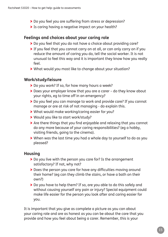- > Do you feel you are suffering from stress or depression?
- > Is caring having a negative impact on your health?

#### **Feelings and choices about your caring role**

- > Do you feel that you do not have a choice about providing care?
- > If you feel that you cannot carry on at all, or can only carry on if you reduce the amount of caring you do, tell the social worker. It is not unusual to feel this way and it is important they know how you really feel.
- > What would you most like to change about your situation?

#### **Work/study/leisure**

- > Do you work? If so, for how many hours a week?
- > Does your employer know that you are a carer do they know about your rights, eg to time off in an emergency?
- > Do you feel you can manage to work and provide care? If you cannot manage or are at risk of not managing - do explain this.
- > What would make working/caring easier for you?
- > Would you like to start work/study?
- > Are there things that you find enjoyable and relaxing that you cannot do any more because of your caring responsibilities? (eg a hobby, visiting friends, going to the cinema).
- > When was the last time you had a whole day to yourself to do as you pleased?

#### **Housing**

- > Do you live with the person you care for? Is the arrangement satisfactory? If not, why not?
- > Does the person you care for have any difficulties moving around their home? (eg can they climb the stairs, or have a bath on their own?)
- > Do you have to help them? If so, are you able to do this safely and without causing yourself any pain or injury? Special equipment could make life easier for the person you look after and caring easier for you.

It is important that you give as complete a picture as you can about your caring role and are as honest as you can be about the care that you provide and how you feel about being a carer. Remember, this is your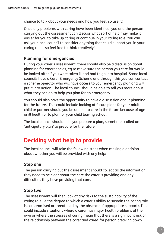chance to talk about your needs and how you feel, so use it!

Once any problems with caring have been identified, you and the person carrying out the assessment can discuss what sort of help may make it easier for you to take up caring or continue in your caring role. You can ask your local council to consider anything that could support you in your caring role – so feel free to think creatively!

#### **Planning for emergencies**

During your carer's assessment, there should also be a discussion about planning for emergencies, eg to make sure the person you care for would be looked after if you were taken ill and had to go into hospital. Some local councils have a Carer Emergency Scheme and through this you can contact a scheme operator who will have access to your emergency plan and will put it into action. The local council should be able to tell you more about what they can do to help you plan for an emergency.

You should also have the opportunity to have a discussion about planning for the future. This could include looking at future plans for your adult child or partner should you be unable to care in the future because of age or ill health or to plan for your child leaving school.

The local council should help you prepare a plan, sometimes called an 'anticipatory plan' to prepare for the future.

## **Deciding what help to provide**

The local council will take the following steps when making a decision about whether you will be provided with any help:

#### **Step one**

The person carrying out the assessment should collect all the information they need to be clear about the care the carer is providing and any difficulties they have providing that care.

#### **Step two**

The assessment will then look at any risks to the sustainability of the caring role (ie the degree to which a carer's ability to sustain the caring role is compromised or threatened by the absence of appropriate support). This could include situations where a carer has major health problems of their own or where the stresses of caring mean that there is a significant risk of the relationship between the carer and cared-for person breaking down.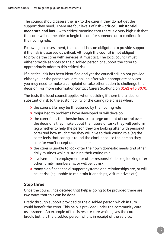The council should assess the risk to the carer if they do not get the support they need. There are four levels of risk – **critical, substantial, moderate and low** – with critical meaning that there is a very high risk that the carer will not be able to begin to care for someone or to continue in their caring role.

Following an assessment, the council has an obligation to provide support if the risk is assessed as critical. Although the council is not obliged to provide the carer with services, it must act. The local council must either provide services to the disabled person or support the carer to appropriately address this critical risk.

If a critical risk has been identified and yet the council still do not provide either you or the person you are looking after with appropriate services you may need to make a complaint or take other action to challenge this decision. For more information contact Carers Scotland on **0141 445 3070**.

The tests the local council applies when deciding if there is a critical or substantial risk to the sustainability of the caring role arises when:

- > the carer's life may be threatened by their caring role
- > major health problems have developed or will develop
- > the carer feels that he/she has lost a large amount of control over the decisions they make about the nature of tasks they will perform (eg whether to help the person they are looking after with personal care) and how much time they will give to their caring role (eg the carer feels that caring is round the clock because the person they care for won't accept outside help)
- > the carer is unable to look after their own domestic needs and other daily routines while sustaining their caring role
- > involvement in employment or other responsibilities (eg looking after other family members) is, or will be, at risk
- > many significant social support systems and relationships are, or will be, at risk (eg unable to maintain friendships, visit relatives etc)

#### **Step three**

Once the council has decided that help is going to be provided there are two ways that this can be done.

Firstly through support provided to the disabled person which in turn could benefit the carer. This help is provided under the community care assessment. An example of this is respite care which gives the carer a break, but it is the disabled person who is in receipt of the service.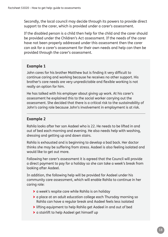Secondly, the local council may decide through its powers to provide direct support to the carer, which is provided under a carer's assessment.

If the disabled person is a child then help for the child and the carer should be provided under the Children's Act assessment. If the needs of the carer have not been properly addressed under this assessment then the carer can ask for a carer's assessment for their own needs and help can then be provided through the carer's assessment.

#### **Example 1**

John cares for his brother Matthew but is finding it very difficult to continue caring and working because he receives no other support. His brother's care needs are very unpredictable and flexible working is not really an option for him.

He has talked with his employer about giving up work. At his carer's assessment he explained this to the social worker carrying out the assessment. She decided that there is a critical risk to the sustainability of John's caring role because John's involvement in employment is at risk.

#### **Example 2**

Rahila looks after her son Aadeel who is 22. He needs to be lifted in and out of bed each morning and evening. He also needs help with washing, dressing and getting up and down stairs.

Rahila is exhausted and is beginning to develop a bad back. Her doctor thinks she may be suffering from stress. Aadeel is also feeling isolated and would like to get out more.

Following her carer's assessment it is agreed that the Council will provide a direct payment to pay for a holiday so she can take a week's break from looking after Aadeel.

In addition, the following help will be provided for Aadeel under his community care assessment, which will enable Rahila to continue in her caring role:

- > a week's respite care while Rahila is on holiday
- > a place at an adult education college each Thursday morning so Rahila can have a regular break and Aadeel feels less isolated
- > lifting equipment to help Rahila get Aadeel in and out of bed
- > a stairlift to help Aadeel get himself up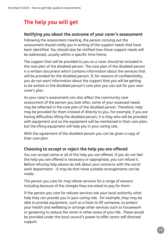## **The help you will get**

#### **Notifying you about the outcome of your carer's assessment**

Following the assessment meeting, the person carrying out the assessment should notify you in writing of the support needs that have been identified. You should also be notified how these support needs will be addressed, usually within a specific time frame.

The support that will be provided to you as a carer should be included in the care plan of the disabled person. The care plan of the disabled person is a written document which contains information about the services that will be provided for the disabled person. If, for reasons of confidentiality, you do not want information about the support that you will be getting to be written in the disabled person's care plan you can ask for your own carer's plan.

As your carer's assessment can also affect the community care assessment of the person you look after, some of your assessed needs may be reflected in the care plan of the disabled person. Therefore, help may be provided for them instead of directly to you. For example, if you are having difficulties lifting the disabled person, it is they who will be provided with equipment and so the equipment will be mentioned in their care plan; but the lifting equipment will help you in your caring role.

With the agreement of the disabled person you can be given a copy of their care plan.

#### **Choosing to accept or reject the help you are offered**

You can accept some or all of the help you are offered. If you do not feel the help you are offered is necessary or appropriate, you can refuse it. Before refusing help please do talk about your concerns with the social work department – it may be that more suitable arrangements can be made.

The person you care for may refuse services for a range of reasons including because of the charges they are asked to pay for them.

If the person you care for refuses services ask your local authority what help they can provide you in your caring role. For example, they may be able to provide equipment, such as a hoist to lift someone, to protect your health and wellbeing or arrange other services such as housework or gardening to reduce the strain in other areas of your life. These would be provided under the local council's power to offer carers self directed support.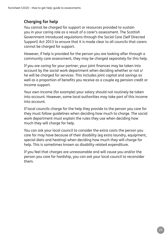#### **Charging for help**

You cannot be charged for support or resources provided to sustain you in your caring role as a result of a carer's assessment. The Scottish Government introduced regulations through the Social Care (Self Directed Support) Act 2013 to ensure that it is made clear to all councils that carers cannot be charged for support.

However, if help is provided for the person you are looking after through a community care assessment, they may be charged separately for this help.

If you are caring for your partner, your joint finances may be taken into account by the social work department when deciding whether or not s/ he will be charged for services. This includes joint capital and savings as well as a proportion of benefits you receive as a couple eg pension credit or income support.

Your own income (for example) your salary should not routinely be taken into account. However, some local authorities may take part of this income into account.

If local councils charge for the help they provide to the person you care for they must follow guidelines when deciding how much to charge. The social work department must explain the rules they use when deciding how much they will charge for help.

You can ask your local council to consider the extra costs the person you care for may have because of their disability (eg extra laundry, equipment, special diets and heating) when deciding how much they will charge for help. This is sometimes known as disability related expenditure.

If you feel that charges are unreasonable and will cause you and/or the person you care for hardship, you can ask your local council to reconsider them.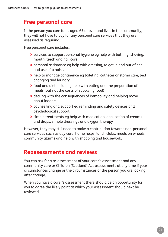## **Free personal care**

If the person you care for is aged 65 or over and lives in the community, they will not have to pay for any personal care services that they are assessed as requiring.

Free personal care includes:

- > services to support personal hygiene eg help with bathing, shaving, mouth, teeth and nail care.
- > personal assistance eg help with dressing, to get in and out of bed and use of a hoist.
- > help to manage continence eg toileting, catheter or stoma care, bed changing and laundry.
- > food and diet including help with eating and the preparation of meals (but not the costs of supplying food)
- > dealing with the consequences of immobility and helping move about indoors.
- > counselling and support eg reminding and safety devices and psychological support
- > simple treatments eg help with medication, application of creams and drops, simple dressings and oxygen therapy

However, they may still need to make a contribution towards non-personal care services such as day care, home helps, lunch clubs, meals on wheels, community alarms and help with shopping and housework.

## **Reassessments and reviews**

You can ask for a re-assessment of your carer's assessment and any community care or Children (Scotland) Act assessments at any time if your circumstances change or the circumstances of the person you are looking after change.

When you have a carer's assessment there should be an opportunity for you to agree the likely point at which your assessment should next be reviewed.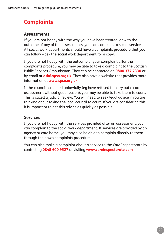## **Complaints**

#### **Assessments**

If you are not happy with the way you have been treated, or with the outcome of any of the assessments, you can complain to social services. All social work departments should have a complaints procedure that you can follow – ask the social work department for a copy.

If you are not happy with the outcome of your complaint after the complaints procedure, you may be able to take a complaint to the Scottish Public Services Ombudsman. They can be contacted on **0800 377 7330** or by email at **ask@spso.org.uk**. They also have a website that provides more information at **www.spso.org.uk**.

If the council has acted unlawfully (eg have refused to carry out a carer's assessment without good reason), you may be able to take them to court. This is called a judicial review. You will need to seek legal advice if you are thinking about taking the local council to court. If you are considering this it is important to get this advice as quickly as possible.

#### **Services**

If you are not happy with the services provided after an assessment, you can complain to the social work department. If services are provided by an agency or care home, you may also be able to complain directly to them through their own complaints procedure.

You can also make a complaint about a service to the Care Inspectorate by contacting **0845 600 9527** or visiting **www.careinspectorate.com**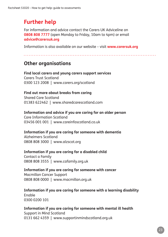## **Further help**

For information and advice contact the Carers UK Adviceline on **0808 808 7777** (open Monday to Friday, 10am to 4pm) or email **advice@carersuk.org**

Information is also available on our website – visit **www.carersuk.org**

## **Other organisations**

**Find local carers and young carers support services** Carers Trust Scotland 0300 123 2008 | www.carers.org/scotland

#### **Find out more about breaks from caring**

Shared Care Scotland 01383 622462 | www.sharedcarescotland.com

#### **Information and advice if you are caring for an older person**

Care Information Scotland 03456 001 001 | www.careinfoscotland.co.uk

## **Information if you are caring for someone with dementia**

Alzheimers Scotland 0808 808 3000 | www.alzscot.org

#### **Information if you are caring for a disabled child**

Contact a Family 0808 808 3555 | www.cafamily.org.uk

#### **Information if you are caring for someone with cancer**

Macmillan Cancer Support 0808 808 0000 | www.macmillan.org.uk

#### **Information if you are caring for someone with a learning disability**

Enable 0300 0200 101

**Information if you are caring for someone with mental ill health** Support in Mind Scotland 0131 662 4359 | www.supportinmindscotland.org.uk